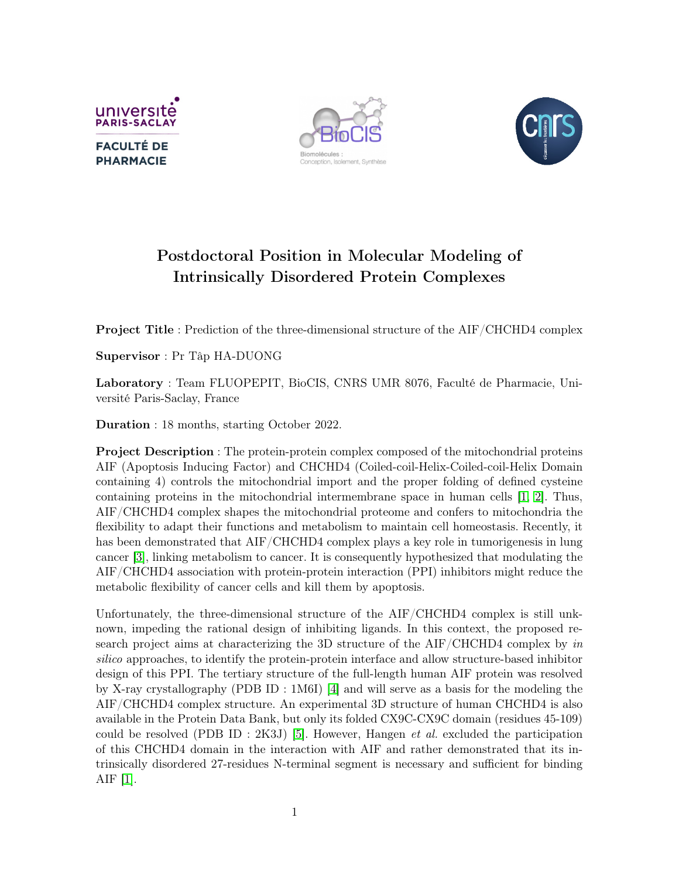





## Postdoctoral Position in Molecular Modeling of Intrinsically Disordered Protein Complexes

Project Title : Prediction of the three-dimensional structure of the AIF/CHCHD4 complex

Supervisor : Pr Tâp HA-DUONG

Laboratory : Team FLUOPEPIT, BioCIS, CNRS UMR 8076, Faculté de Pharmacie, Université Paris-Saclay, France

Duration : 18 months, starting October 2022.

Project Description : The protein-protein complex composed of the mitochondrial proteins AIF (Apoptosis Inducing Factor) and CHCHD4 (Coiled-coil-Helix-Coiled-coil-Helix Domain containing 4) controls the mitochondrial import and the proper folding of defined cysteine containing proteins in the mitochondrial intermembrane space in human cells [\[1,](#page-1-0) [2\]](#page-1-1). Thus, AIF/CHCHD4 complex shapes the mitochondrial proteome and confers to mitochondria the flexibility to adapt their functions and metabolism to maintain cell homeostasis. Recently, it has been demonstrated that AIF/CHCHD4 complex plays a key role in tumorigenesis in lung cancer [\[3\]](#page-1-2), linking metabolism to cancer. It is consequently hypothesized that modulating the AIF/CHCHD4 association with protein-protein interaction (PPI) inhibitors might reduce the metabolic flexibility of cancer cells and kill them by apoptosis.

Unfortunately, the three-dimensional structure of the AIF/CHCHD4 complex is still unknown, impeding the rational design of inhibiting ligands. In this context, the proposed research project aims at characterizing the 3D structure of the AIF/CHCHD4 complex by in silico approaches, to identify the protein-protein interface and allow structure-based inhibitor design of this PPI. The tertiary structure of the full-length human AIF protein was resolved by X-ray crystallography (PDB ID : 1M6I) [\[4\]](#page-1-3) and will serve as a basis for the modeling the AIF/CHCHD4 complex structure. An experimental 3D structure of human CHCHD4 is also available in the Protein Data Bank, but only its folded CX9C-CX9C domain (residues 45-109) could be resolved (PDB ID : 2K3J) [\[5\]](#page-1-4). However, Hangen et al. excluded the participation of this CHCHD4 domain in the interaction with AIF and rather demonstrated that its intrinsically disordered 27-residues N-terminal segment is necessary and sufficient for binding AIF [\[1\]](#page-1-0).